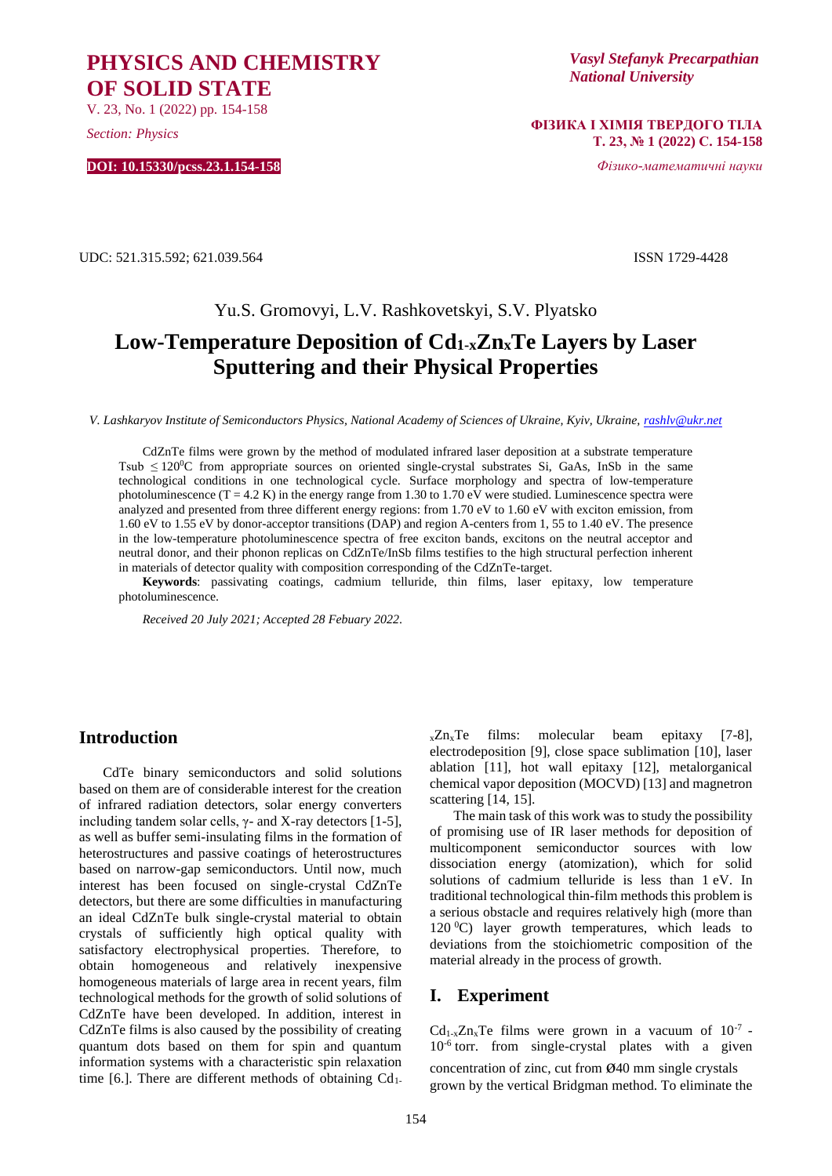**PHYSICS AND CHEMISTRY OF SOLID STATE**

V. 23, No. 1 (2022) pp. 154-158

*Section: Physics*

**DOI: 10.15330/pcss.23.1.154-158**

*Vasyl Stefanyk Precarpathian National University*

**ФІЗИКА І ХІМІЯ ТВЕРДОГО ТІЛА Т. 23, № 1 (2022) С. 154-158**

*Фізико-математичні науки*

UDC: 521.315.592; 621.039.564 ISSN 1729-4428

# Yu.S. Gromovyi, L.V. Rashkovetskyi, S.V. Plyatsko **Low-Temperature Deposition of Cd1-xZnxTe Layers by Laser Sputtering and their Physical Properties**

*V. Lashkaryov Institute of Semiconductors Physics, National Academy of Sciences of Ukraine, Kyiv, Ukraine, [rashlv@ukr.net](mailto:rashlv@ukr.net)* 

CdZnTe films were grown by the method of modulated infrared laser deposition at a substrate temperature Tsub  $\leq 120^{\circ}$ C from appropriate sources on oriented single-crystal substrates Si, GaAs, InSb in the same technological conditions in one technological cycle. Surface morphology and spectra of low-temperature photoluminescence  $(T = 4.2 K)$  in the energy range from 1.30 to 1.70 eV were studied. Luminescence spectra were analyzed and presented from three different energy regions: from 1.70 eV to 1.60 eV with exciton emission, from 1.60 eV to 1.55 eV by donor-acceptor transitions (DAP) and region A-centers from 1, 55 to 1.40 eV. The presence in the low-temperature photoluminescence spectra of free exciton bands, excitons on the neutral acceptor and neutral donor, and their phonon replicas on CdZnTe/InSb films testifies to the high structural perfection inherent in materials of detector quality with composition corresponding of the CdZnTe-target.

**Keywords**: passivating coatings, cadmium telluride, thin films, laser epitaxy, low temperature photoluminescence.

*Received 20 July 2021; Accepted 28 Febuary 2022*.

## **Introduction**

CdTe binary semiconductors and solid solutions based on them are of considerable interest for the creation of infrared radiation detectors, solar energy converters including tandem solar cells,  $γ$ - and X-ray detectors [1-5], as well as buffer semi-insulating films in the formation of heterostructures and passive coatings of heterostructures based on narrow-gap semiconductors. Until now, much interest has been focused on single-crystal CdZnTe detectors, but there are some difficulties in manufacturing an ideal CdZnTe bulk single-crystal material to obtain crystals of sufficiently high optical quality with satisfactory electrophysical properties. Therefore, to obtain homogeneous and relatively inexpensive homogeneous materials of large area in recent years, film technological methods for the growth of solid solutions of CdZnTe have been developed. In addition, interest in CdZnTe films is also caused by the possibility of creating quantum dots based on them for spin and quantum information systems with a characteristic spin relaxation time [6.]. There are different methods of obtaining  $Cd<sub>1</sub>$ .

 $_{x}Zn_{x}Te$  films: molecular beam epitaxy [7-8], electrodeposition [9], close space sublimation [10], laser ablation [11], hot wall epitaxy [12], metalorganical chemical vapor deposition (MOCVD) [13] and magnetron scattering [14, 15].

The main task of this work was to study the possibility of promising use of IR laser methods for deposition of multicomponent semiconductor sources with low dissociation energy (atomization), which for solid solutions of cadmium telluride is less than 1 eV. In traditional technological thin-film methods this problem is a serious obstacle and requires relatively high (more than 120  $^{\circ}$ C) layer growth temperatures, which leads to deviations from the stoichiometric composition of the material already in the process of growth.

## **I. Experiment**

 $Cd_{1-x}Zn_xTe$  films were grown in a vacuum of  $10^{-7}$  -10-6 torr. from single-crystal plates with a given concentration of zinc, cut from ø40 mm single crystals grown by the vertical Bridgman method. To eliminate the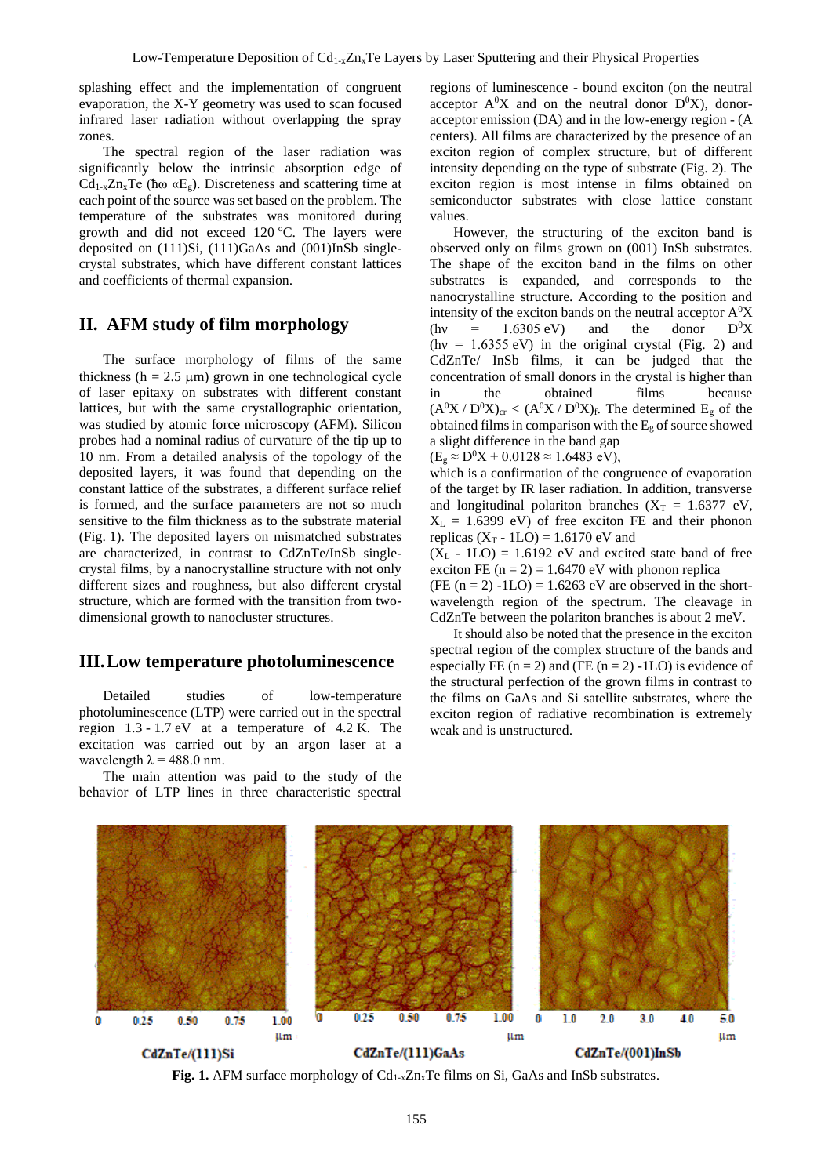splashing effect and the implementation of congruent evaporation, the X-Y geometry was used to scan focused infrared laser radiation without overlapping the spray zones.

The spectral region of the laser radiation was significantly below the intrinsic absorption edge of Cd<sub>1-x</sub>Zn<sub>x</sub>Te ( $\hbar \omega \ll E_g$ ). Discreteness and scattering time at each point of the source was set based on the problem. The temperature of the substrates was monitored during growth and did not exceed  $120$  °C. The layers were deposited on (111)Si, (111)GaAs and (001)InSb singlecrystal substrates, which have different constant lattices and coefficients of thermal expansion.

## **II. AFM study of film morphology**

The surface morphology of films of the same thickness ( $h = 2.5 \text{ }\mu\text{m}$ ) grown in one technological cycle of laser epitaxy on substrates with different constant lattices, but with the same crystallographic orientation, was studied by atomic force microscopy (AFM). Silicon probes had a nominal radius of curvature of the tip up to 10 nm. From a detailed analysis of the topology of the deposited layers, it was found that depending on the constant lattice of the substrates, a different surface relief is formed, and the surface parameters are not so much sensitive to the film thickness as to the substrate material (Fig. 1). The deposited layers on mismatched substrates are characterized, in contrast to CdZnTe/InSb singlecrystal films, by a nanocrystalline structure with not only different sizes and roughness, but also different crystal structure, which are formed with the transition from twodimensional growth to nanocluster structures.

### **III.Low temperature photoluminescence**

Detailed studies of low-temperature photoluminescence (LTP) were carried out in the spectral region 1.3 - 1.7 eV at a temperature of 4.2 K. The excitation was carried out by an argon laser at a wavelength  $\lambda = 488.0$  nm.

The main attention was paid to the study of the behavior of LTP lines in three characteristic spectral regions of luminescence - bound exciton (on the neutral acceptor  $A^0X$  and on the neutral donor  $D^0X$ ), donoracceptor emission (DA) and in the low-energy region - (A centers). All films are characterized by the presence of an exciton region of complex structure, but of different intensity depending on the type of substrate (Fig. 2). The exciton region is most intense in films obtained on semiconductor substrates with close lattice constant values.

However, the structuring of the exciton band is observed only on films grown on (001) InSb substrates. The shape of the exciton band in the films on other substrates is expanded, and corresponds to the nanocrystalline structure. According to the position and intensity of the exciton bands on the neutral acceptor  $A<sup>0</sup>X$ (hv =  $1.6305 \text{ eV}$ ) and the donor  $D^0X$  $(hv = 1.6355 \text{ eV})$  in the original crystal (Fig. 2) and CdZnTe/ InSb films, it can be judged that the concentration of small donors in the crystal is higher than in the obtained films because  $(A^0X / D^0X)_{cr} < (A^0X / D^0X)_f$ . The determined E<sub>g</sub> of the obtained films in comparison with the  $E_g$  of source showed a slight difference in the band gap  $(E_g \approx D^0 X + 0.0128 \approx 1.6483 \text{ eV}),$ 

which is a confirmation of the congruence of evaporation of the target by IR laser radiation. In addition, transverse and longitudinal polariton branches  $(X_T = 1.6377 \text{ eV})$ ,  $X_L = 1.6399$  eV) of free exciton FE and their phonon replicas  $(X_T - ILO) = 1.6170$  eV and

 $(X_L - 1LO) = 1.6192$  eV and excited state band of free exciton FE  $(n = 2) = 1.6470$  eV with phonon replica

(FE  $(n = 2) -1LO$ ) = 1.6263 eV are observed in the shortwavelength region of the spectrum. The cleavage in CdZnTe between the polariton branches is about 2 meV.

It should also be noted that the presence in the exciton spectral region of the complex structure of the bands and especially FE  $(n = 2)$  and (FE  $(n = 2)$  -1LO) is evidence of the structural perfection of the grown films in contrast to the films on GaAs and Si satellite substrates, where the exciton region of radiative recombination is extremely weak and is unstructured.



Fig. 1. AFM surface morphology of Cd<sub>1-x</sub>Zn<sub>x</sub>Te films on Si, GaAs and InSb substrates.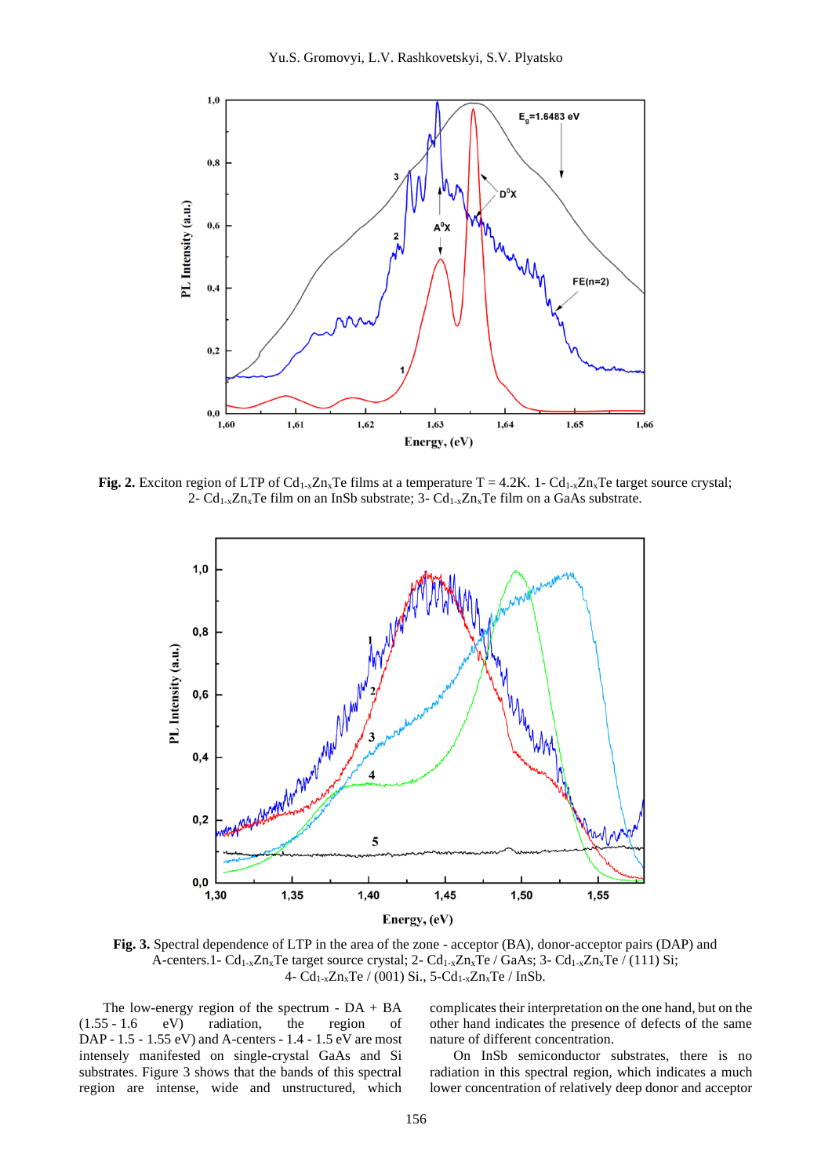

**Fig. 2.** Exciton region of LTP of Cd<sub>1-x</sub>Zn<sub>x</sub>Te films at a temperature T = 4.2K. 1- Cd<sub>1-x</sub>Zn<sub>x</sub>Te target source crystal; 2-  $Cd_{1-x}Zn_xTe$  film on an InSb substrate; 3-  $Cd_{1-x}Zn_xTe$  film on a GaAs substrate.



**Fig. 3.** Spectral dependence of LTP in the area of the zone - acceptor (BA), donor-acceptor pairs (DAP) and A-centers.1-  $Cd_{1-x}Zn_xTe$  target source crystal; 2-  $Cd_{1-x}Zn_xTe$  /  $GaAs$ ; 3-  $Cd_{1-x}Zn_xTe$  / (111) Si; 4-  $Cd_{1-x}Zn_xTe / (001) Si., 5-Cd_{1-x}Zn_xTe / InSb.$ 

The low-energy region of the spectrum -  $DA + BA$ (1.55 - 1.6 eV) radiation, the region of DAP - 1.5 - 1.55 eV) and A-centers - 1.4 - 1.5 eV are most intensely manifested on single-crystal GaAs and Si substrates. Figure 3 shows that the bands of this spectral region are intense, wide and unstructured, which

complicates their interpretation on the one hand, but on the other hand indicates the presence of defects of the same nature of different concentration.

On InSb semiconductor substrates, there is no radiation in this spectral region, which indicates a much lower concentration of relatively deep donor and acceptor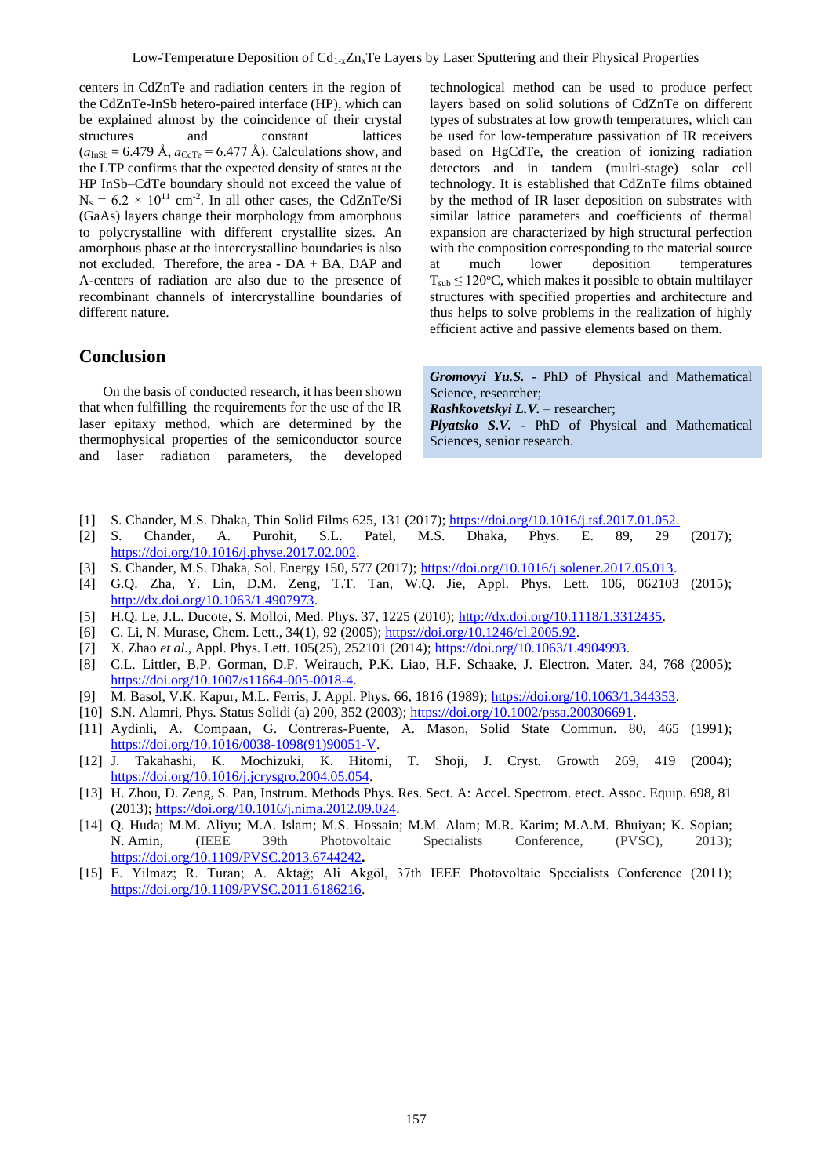centers in CdZnTe and radiation centers in the region of the CdZnTe-InSb hetero-paired interface (HP), which can be explained almost by the coincidence of their crystal structures and constant lattices  $(a<sub>InSh</sub> = 6.479 \text{ Å}, a<sub>CdTe</sub> = 6.477 \text{ Å}).$  Calculations show, and the LTP confirms that the expected density of states at the HP InSb–CdTe boundary should not exceed the value of  $N_s = 6.2 \times 10^{11}$  cm<sup>-2</sup>. In all other cases, the CdZnTe/Si (GaAs) layers change their morphology from amorphous to polycrystalline with different crystallite sizes. An amorphous phase at the intercrystalline boundaries is also not excluded. Therefore, the area - DA + BA, DAP and A-centers of radiation are also due to the presence of recombinant channels of intercrystalline boundaries of different nature.

## **Conclusion**

On the basis of conducted research, it has been shown that when fulfilling the requirements for the use of the IR laser epitaxy method, which are determined by the thermophysical properties of the semiconductor source and laser radiation parameters, the developed

technological method can be used to produce perfect layers based on solid solutions of CdZnTe on different types of substrates at low growth temperatures, which can be used for low-temperature passivation of IR receivers based on HgCdTe, the creation of ionizing radiation detectors and in tandem (multi-stage) solar cell technology. It is established that CdZnTe films obtained by the method of IR laser deposition on substrates with similar lattice parameters and coefficients of thermal expansion are characterized by high structural perfection with the composition corresponding to the material source at much lower deposition temperatures  $T_{sub} \leq 120^{\circ}$ C, which makes it possible to obtain multilayer structures with specified properties and architecture and thus helps to solve problems in the realization of highly efficient active and passive elements based on them.

*Gromovyi Yu.S.* - PhD of Physical and Mathematical Science, researcher; *Rashkovetskyi L.V.* – researcher; *Plyatsko S.V.* - PhD of Physical and Mathematical

Sciences, senior research.

- [1] S. Chander, M.S. Dhaka, Thin Solid Films 625, 131 (2017)[; https://doi.org/10.1016/j.tsf.2017.01.052.](https://doi.org/10.1016/j.tsf.2017.01.052)
- [2] S. Chander, A. Purohit, S.L. Patel, M.S. Dhaka, Phys. E. 89, 29 (2017); [https://doi.org/10.1016/j.physe.2017.02.002.](https://doi.org/10.1016/j.physe.2017.02.002)
- [3] S. Chander, M.S. Dhaka, Sol. Energy 150, 577 (2017); [https://doi.org/10.1016/j.solener.2017.05.013.](https://doi.org/10.1016/j.solener.2017.05.013)
- [4] G.Q. Zha, Y. Lin, D.M. Zeng, T.T. Tan, W.Q. Jie, Appl. Phys. Lett. 106, 062103 (2015); [http://dx.doi.org/10.1063/1.4907973.](http://dx.doi.org/10.1063/1.4907973)
- [5] H.Q. Le, J.L. Ducote, S. Molloi, Med. Phys. 37, 1225 (2010); http://dx.doi.org[/10.1118/1.3312435.](https://dx.doi.org/10.1118%2F1.3312435)
- [6] C. Li, N. Murase, Chem. Lett., 34(1), 92 (2005); [https://doi.org/10.1246/cl.2005.92.](https://doi.org/10.1246/cl.2005.92)
- [7] X. Zhao *et al.*, Appl. Phys. Lett. 105(25), 252101 (2014); [https://doi.org/10.1063/1.4904993.](https://doi.org/10.1063/1.4904993)
- [8] C.L. Littler, B.P. Gorman, D.F. Weirauch, P.K. Liao, H.F. Schaake, J. Electron. Mater. 34, 768 (2005); [https://doi.org/10.1007/s11664-005-0018-4.](https://doi.org/10.1007/s11664-005-0018-4)
- [9] M. Basol, V.K. Kapur, M.L. Ferris, J. Appl. Phys. 66, 1816 (1989)[; https://doi.org/10.1063/1.344353.](https://doi.org/10.1063/1.344353)
- [10] S.N. Alamri, Phys. Status Solidi (a) 200, 352 (2003); [https://doi.org/10.1002/pssa.200306691.](https://doi.org/10.1002/pssa.200306691)
- [11] Aydinli, A. Compaan, G. Contreras-Puente, A. Mason, Solid State Commun. 80, 465 (1991); [https://doi.org/10.1016/0038-1098\(91\)90051-V.](https://doi.org/10.1016/0038-1098(91)90051-V)
- [12] J. Takahashi, K. Mochizuki, K. Hitomi, T. Shoji, J. Cryst. Growth 269, 419 (2004); [https://doi.org/10.1016/j.jcrysgro.2004.05.054.](https://doi.org/10.1016/j.jcrysgro.2004.05.054)
- [13] H. Zhou, D. Zeng, S. Pan, Instrum. Methods Phys. Res. Sect. A: Accel. Spectrom. etect. Assoc. Equip. 698, 81 (2013); https://doi.org[/10.1016/j.nima.2012.09.024.](https://doi.org/10.1016/j.nima.2012.09.024)
- [14] Q. Huda; M.M. Aliyu; M.A. Islam; M.S. Hossain; M.M. Alam; M.R. Karim; M.A.M. Bhuiyan; K. Sopian; N. Amin, (IEEE 39th Photovoltaic Specialists Conference, (PVSC), 2013); https://doi.org[/10.1109/PVSC.2013.6744242](https://doi.org/10.1109/PVSC.2013.6744242)**.**
- [15] E. Yilmaz; R. Turan; A. Aktağ; Ali Akgöl, 37th IEEE Photovoltaic Specialists Conference (2011); https://doi.org[/10.1109/PVSC.2011.6186216.](https://doi.org/10.1109/PVSC.2011.6186216)